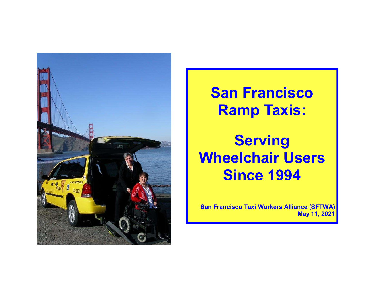

San Francisco Ramp Taxis:

**Serving** Wheelchair Users Since 1994

San Francisco Taxi Workers Alliance (SFTWA) May 11, 2021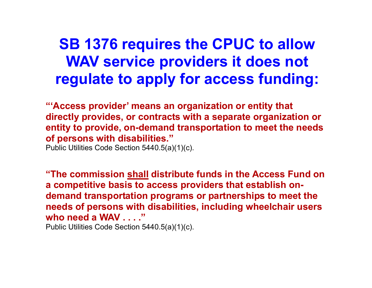### SB 1376 requires the CPUC to allow WAV service providers it does not regulate to apply for access funding:

"'Access provider' means an organization or entity that directly provides, or contracts with a separate organization or entity to provide, on-demand transportation to meet the needs of persons with disabilities."

Public Utilities Code Section 5440.5(a)(1)(c).

"The commission shall distribute funds in the Access Fund on a competitive basis to access providers that establish ondemand transportation programs or partnerships to meet the needs of persons with disabilities, including wheelchair users who need a WAV . . . ."

Public Utilities Code Section 5440.5(a)(1)(c).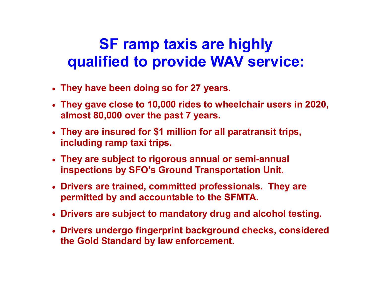# SF ramp taxis are highly qualified to provide WAV service:

- They have been doing so for 27 years.
- They gave close to 10,000 rides to wheelchair users in 2020, almost 80,000 over the past 7 years.
- They are insured for \$1 million for all paratransit trips, including ramp taxi trips.
- They are subject to rigorous annual or semi-annual inspections by SFO's Ground Transportation Unit.
- Drivers are trained, committed professionals. They are permitted by and accountable to the SFMTA.
- Drivers are subject to mandatory drug and alcohol testing.
- Drivers undergo fingerprint background checks, considered the Gold Standard by law enforcement.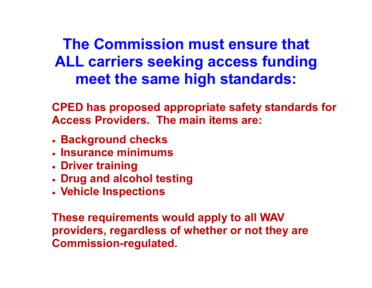# The Commission must ensure that ALL carriers seeking access funding meet the same high standards:

CPED has proposed appropriate safety standards for Access Providers. The main items are:

- **Background checks**
- Insurance minimums
- Driver training
- Drug and alcohol testing
- Vehicle Inspections

These requirements would apply to all WAV providers, regardless of whether or not they are Commission-regulated.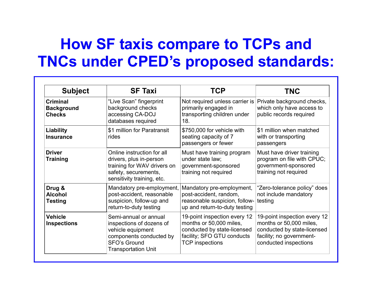# How SF taxis compare to TCPs and TNCs under CPED's proposed standards:

| <b>Subject</b>                                        | <b>SF Taxi</b>                                                                                                                                  | TCP                                                                                                                                            | <b>TNC</b>                                                                                                                                  |
|-------------------------------------------------------|-------------------------------------------------------------------------------------------------------------------------------------------------|------------------------------------------------------------------------------------------------------------------------------------------------|---------------------------------------------------------------------------------------------------------------------------------------------|
| <b>Criminal</b><br><b>Background</b><br><b>Checks</b> | "Live Scan" fingerprint<br>background checks<br>accessing CA-DOJ<br>databases required                                                          | Not required unless carrier is<br>primarily engaged in<br>transporting children under<br>18.                                                   | Private background checks,<br>which only have access to<br>public records required                                                          |
| <b>Liability</b><br><b>Insurance</b>                  | \$1 million for Paratransit<br>rides                                                                                                            | \$750,000 for vehicle with<br>seating capacity of 7<br>passengers or fewer                                                                     | \$1 million when matched<br>with or transporting<br>passengers                                                                              |
| <b>Driver</b><br><b>Training</b>                      | Online instruction for all<br>drivers, plus in-person<br>training for WAV drivers on<br>safety, securements,<br>sensitivity training, etc.      | Must have training program<br>under state law;<br>government-sponsored<br>training not required                                                | Must have driver training<br>program on file with CPUC;<br>government-sponsored<br>training not required                                    |
| Drug &<br><b>Alcohol</b><br><b>Testing</b>            | Mandatory pre-employment,<br>post-accident, reasonable<br>suspicion, follow-up and<br>return-to-duty testing                                    | Mandatory pre-employment,<br>post-accident, random,<br>reasonable suspicion, follow-<br>up and return-to-duty testing                          | "Zero-tolerance policy" does<br>not include mandatory<br>testing                                                                            |
| <b>Vehicle</b><br><b>Inspections</b>                  | Semi-annual or annual<br>inspections of dozens of<br>vehicle equipment<br>components conducted by<br>SFO's Ground<br><b>Transportation Unit</b> | 19-point inspection every 12<br>months or 50,000 miles,<br>conducted by state-licensed<br>facility; SFO GTU conducts<br><b>TCP</b> inspections | 19-point inspection every 12<br>months or 50,000 miles,<br>conducted by state-licensed<br>facility; no government-<br>conducted inspections |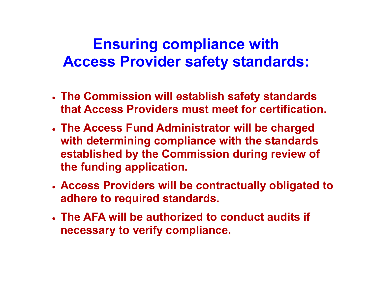### Ensuring compliance with Access Provider safety standards:

- The Commission will establish safety standards that Access Providers must meet for certification.
- The Access Fund Administrator will be charged with determining compliance with the standards established by the Commission during review of the funding application.
- Access Providers will be contractually obligated to adhere to required standards.
- The AFA will be authorized to conduct audits if necessary to verify compliance.